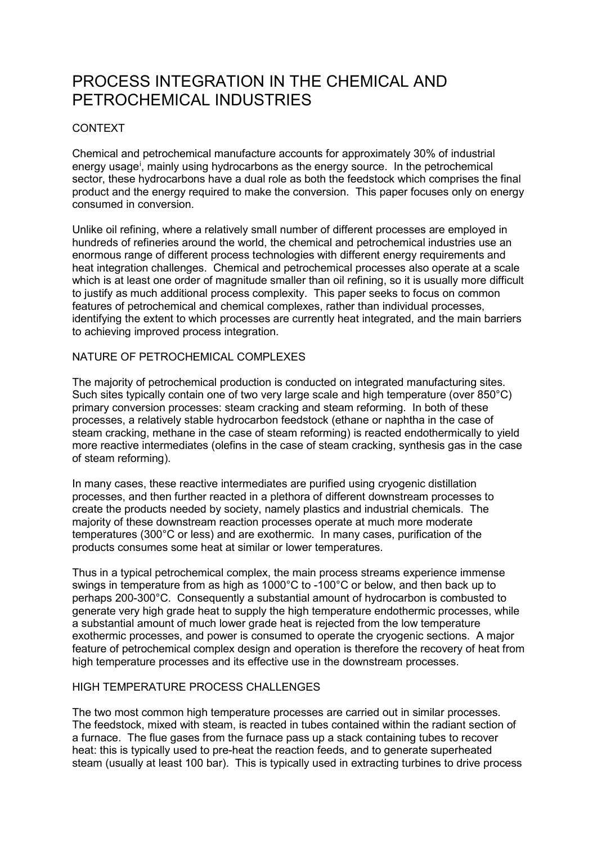# PROCESS INTEGRATION IN THE CHEMICAL AND PETROCHEMICAL INDUSTRIES

## CONTEXT

Chemical and petrochemical manufacture accounts for approximately 30% of industrial energy usage<sup>[i](#page-2-0)</sup>, mainly using hydrocarbons as the energy source. In the petrochemical sector, these hydrocarbons have a dual role as both the feedstock which comprises the final product and the energy required to make the conversion. This paper focuses only on energy consumed in conversion.

Unlike oil refining, where a relatively small number of different processes are employed in hundreds of refineries around the world, the chemical and petrochemical industries use an enormous range of different process technologies with different energy requirements and heat integration challenges. Chemical and petrochemical processes also operate at a scale which is at least one order of magnitude smaller than oil refining, so it is usually more difficult to justify as much additional process complexity. This paper seeks to focus on common features of petrochemical and chemical complexes, rather than individual processes, identifying the extent to which processes are currently heat integrated, and the main barriers to achieving improved process integration.

## NATURE OF PETROCHEMICAL COMPLEXES

The majority of petrochemical production is conducted on integrated manufacturing sites. Such sites typically contain one of two very large scale and high temperature (over 850°C) primary conversion processes: steam cracking and steam reforming. In both of these processes, a relatively stable hydrocarbon feedstock (ethane or naphtha in the case of steam cracking, methane in the case of steam reforming) is reacted endothermically to yield more reactive intermediates (olefins in the case of steam cracking, synthesis gas in the case of steam reforming).

In many cases, these reactive intermediates are purified using cryogenic distillation processes, and then further reacted in a plethora of different downstream processes to create the products needed by society, namely plastics and industrial chemicals. The majority of these downstream reaction processes operate at much more moderate temperatures (300°C or less) and are exothermic. In many cases, purification of the products consumes some heat at similar or lower temperatures.

Thus in a typical petrochemical complex, the main process streams experience immense swings in temperature from as high as 1000°C to -100°C or below, and then back up to perhaps 200-300°C. Consequently a substantial amount of hydrocarbon is combusted to generate very high grade heat to supply the high temperature endothermic processes, while a substantial amount of much lower grade heat is rejected from the low temperature exothermic processes, and power is consumed to operate the cryogenic sections. A major feature of petrochemical complex design and operation is therefore the recovery of heat from high temperature processes and its effective use in the downstream processes.

## HIGH TEMPERATURE PROCESS CHALLENGES

The two most common high temperature processes are carried out in similar processes. The feedstock, mixed with steam, is reacted in tubes contained within the radiant section of a furnace. The flue gases from the furnace pass up a stack containing tubes to recover heat: this is typically used to pre-heat the reaction feeds, and to generate superheated steam (usually at least 100 bar). This is typically used in extracting turbines to drive process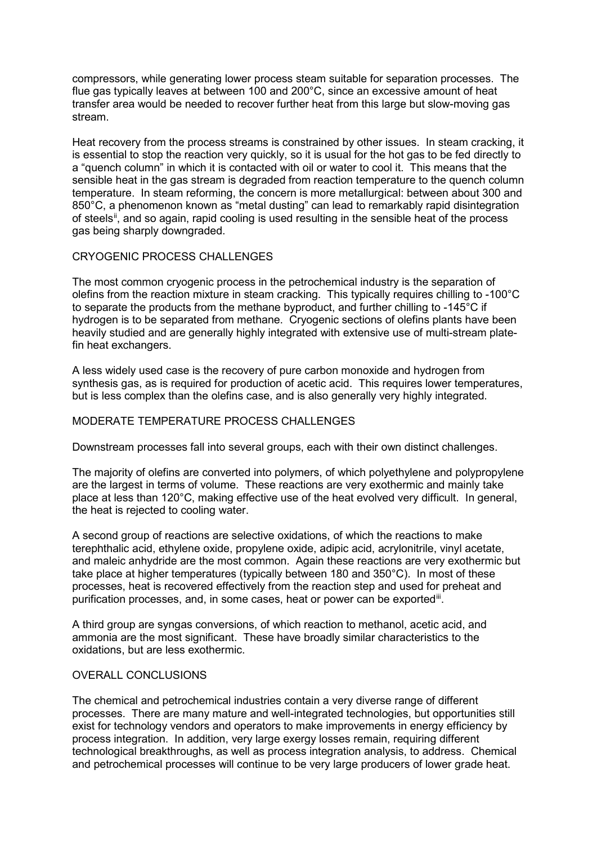compressors, while generating lower process steam suitable for separation processes. The flue gas typically leaves at between 100 and 200°C, since an excessive amount of heat transfer area would be needed to recover further heat from this large but slow-moving gas stream.

Heat recovery from the process streams is constrained by other issues. In steam cracking, it is essential to stop the reaction very quickly, so it is usual for the hot gas to be fed directly to a "quench column" in which it is contacted with oil or water to cool it. This means that the sensible heat in the gas stream is degraded from reaction temperature to the quench column temperature. In steam reforming, the concern is more metallurgical: between about 300 and 850°C, a phenomenon known as "metal dusting" can lead to remarkably rapid disintegration of steels<sup>ii</sup>, and so again, rapid cooling is used resulting in the sensible heat of the process gas being sharply downgraded.

## CRYOGENIC PROCESS CHALLENGES

The most common cryogenic process in the petrochemical industry is the separation of olefins from the reaction mixture in steam cracking. This typically requires chilling to -100°C to separate the products from the methane byproduct, and further chilling to -145°C if hydrogen is to be separated from methane. Cryogenic sections of olefins plants have been heavily studied and are generally highly integrated with extensive use of multi-stream platefin heat exchangers.

A less widely used case is the recovery of pure carbon monoxide and hydrogen from synthesis gas, as is required for production of acetic acid. This requires lower temperatures, but is less complex than the olefins case, and is also generally very highly integrated.

#### MODERATE TEMPERATURE PROCESS CHALLENGES

Downstream processes fall into several groups, each with their own distinct challenges.

The majority of olefins are converted into polymers, of which polyethylene and polypropylene are the largest in terms of volume. These reactions are very exothermic and mainly take place at less than 120°C, making effective use of the heat evolved very difficult. In general, the heat is rejected to cooling water.

A second group of reactions are selective oxidations, of which the reactions to make terephthalic acid, ethylene oxide, propylene oxide, adipic acid, acrylonitrile, vinyl acetate, and maleic anhydride are the most common. Again these reactions are very exothermic but take place at higher temperatures (typically between 180 and 350°C). In most of these processes, heat is recovered effectively from the reaction step and used for preheat and purification processes, and, in some cases, heat or power can be exported.

A third group are syngas conversions, of which reaction to methanol, acetic acid, and ammonia are the most significant. These have broadly similar characteristics to the oxidations, but are less exothermic.

#### OVERALL CONCLUSIONS

The chemical and petrochemical industries contain a very diverse range of different processes. There are many mature and well-integrated technologies, but opportunities still exist for technology vendors and operators to make improvements in energy efficiency by process integration. In addition, very large exergy losses remain, requiring different technological breakthroughs, as well as process integration analysis, to address. Chemical and petrochemical processes will continue to be very large producers of lower grade heat.